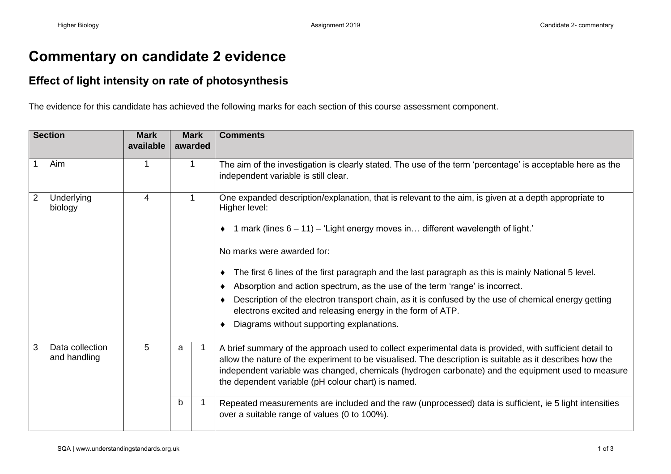## **Commentary on candidate 2 evidence**

## **Effect of light intensity on rate of photosynthesis**

The evidence for this candidate has achieved the following marks for each section of this course assessment component.

| <b>Section</b> |                                 | <b>Mark</b><br>available | <b>Mark</b><br>awarded |  | <b>Comments</b>                                                                                                                                                                                                                                                                                                                                                                                                                                                                                                                                                                                                                                            |
|----------------|---------------------------------|--------------------------|------------------------|--|------------------------------------------------------------------------------------------------------------------------------------------------------------------------------------------------------------------------------------------------------------------------------------------------------------------------------------------------------------------------------------------------------------------------------------------------------------------------------------------------------------------------------------------------------------------------------------------------------------------------------------------------------------|
|                | Aim                             |                          |                        |  | The aim of the investigation is clearly stated. The use of the term 'percentage' is acceptable here as the<br>independent variable is still clear.                                                                                                                                                                                                                                                                                                                                                                                                                                                                                                         |
| 2              | Underlying<br>biology           | $\overline{4}$           |                        |  | One expanded description/explanation, that is relevant to the aim, is given at a depth appropriate to<br>Higher level:<br>$\bullet$ 1 mark (lines 6 – 11) – 'Light energy moves in different wavelength of light.'<br>No marks were awarded for:<br>The first 6 lines of the first paragraph and the last paragraph as this is mainly National 5 level.<br>Absorption and action spectrum, as the use of the term 'range' is incorrect.<br>Description of the electron transport chain, as it is confused by the use of chemical energy getting<br>electrons excited and releasing energy in the form of ATP.<br>Diagrams without supporting explanations. |
| 3              | Data collection<br>and handling | 5                        | a<br>b                 |  | A brief summary of the approach used to collect experimental data is provided, with sufficient detail to<br>allow the nature of the experiment to be visualised. The description is suitable as it describes how the<br>independent variable was changed, chemicals (hydrogen carbonate) and the equipment used to measure<br>the dependent variable (pH colour chart) is named.<br>Repeated measurements are included and the raw (unprocessed) data is sufficient, ie 5 light intensities<br>over a suitable range of values (0 to 100%).                                                                                                                |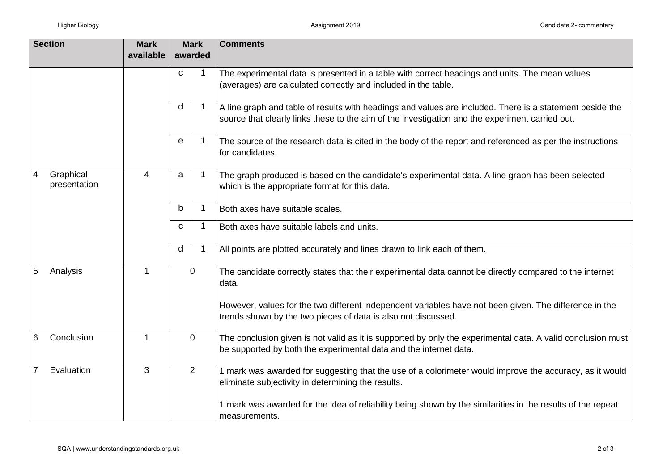| <b>Section</b>                 | <b>Mark</b><br>available | <b>Mark</b><br>awarded |                | <b>Comments</b>                                                                                                                                                                                             |
|--------------------------------|--------------------------|------------------------|----------------|-------------------------------------------------------------------------------------------------------------------------------------------------------------------------------------------------------------|
|                                |                          |                        |                |                                                                                                                                                                                                             |
|                                |                          | $\mathbf{C}$           | -1             | The experimental data is presented in a table with correct headings and units. The mean values<br>(averages) are calculated correctly and included in the table.                                            |
|                                |                          | d                      | $\mathbf 1$    | A line graph and table of results with headings and values are included. There is a statement beside the<br>source that clearly links these to the aim of the investigation and the experiment carried out. |
|                                |                          | e                      |                | The source of the research data is cited in the body of the report and referenced as per the instructions<br>for candidates.                                                                                |
| Graphical<br>4<br>presentation | 4                        | a                      | -1             | The graph produced is based on the candidate's experimental data. A line graph has been selected<br>which is the appropriate format for this data.                                                          |
|                                |                          | $\mathsf{b}$           |                | Both axes have suitable scales.                                                                                                                                                                             |
|                                |                          | C                      | -1             | Both axes have suitable labels and units.                                                                                                                                                                   |
|                                |                          | d                      | -1             | All points are plotted accurately and lines drawn to link each of them.                                                                                                                                     |
| 5<br>Analysis                  | 1                        |                        | $\overline{0}$ | The candidate correctly states that their experimental data cannot be directly compared to the internet<br>data.                                                                                            |
|                                |                          |                        |                | However, values for the two different independent variables have not been given. The difference in the<br>trends shown by the two pieces of data is also not discussed.                                     |
| Conclusion<br>6                | $\mathbf 1$              | $\overline{0}$         |                | The conclusion given is not valid as it is supported by only the experimental data. A valid conclusion must<br>be supported by both the experimental data and the internet data.                            |
| Evaluation                     | 3                        | $\overline{2}$         |                | 1 mark was awarded for suggesting that the use of a colorimeter would improve the accuracy, as it would<br>eliminate subjectivity in determining the results.                                               |
|                                |                          |                        |                | 1 mark was awarded for the idea of reliability being shown by the similarities in the results of the repeat<br>measurements.                                                                                |